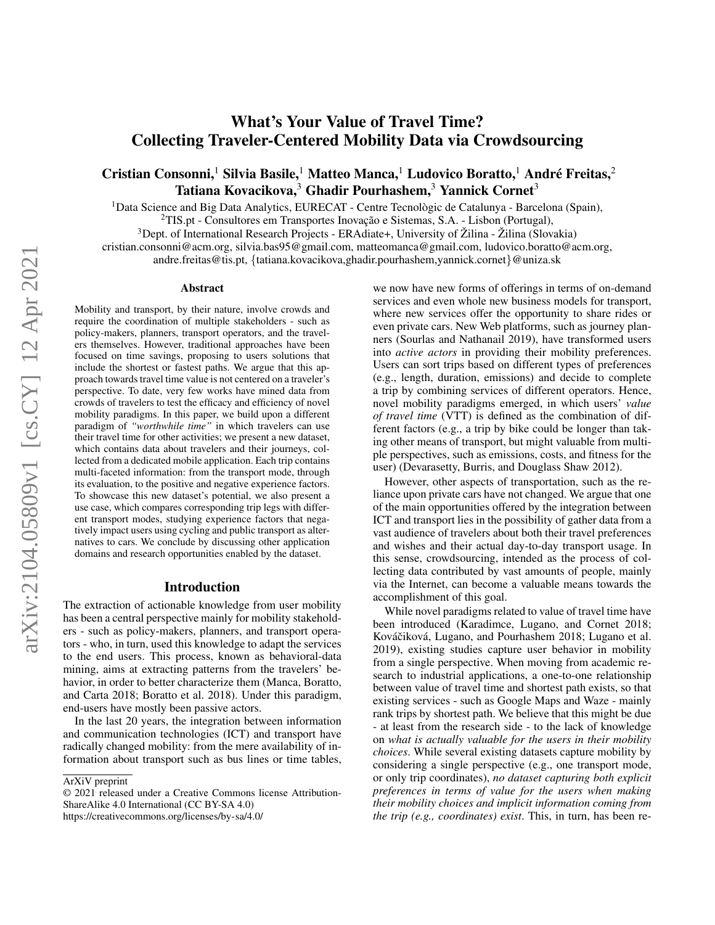# What's Your Value of Travel Time? Collecting Traveler-Centered Mobility Data via Crowdsourcing

## Cristian Consonni,<sup>1</sup> Silvia Basile,<sup>1</sup> Matteo Manca,<sup>1</sup> Ludovico Boratto,<sup>1</sup> André Freitas,<sup>2</sup> Tatiana Kovacikova, $3$  Ghadir Pourhashem, $3$  Yannick Cornet  $3$

<sup>1</sup>Data Science and Big Data Analytics, EURECAT - Centre Tecnològic de Catalunya - Barcelona (Spain),

 $2$ TIS.pt - Consultores em Transportes Inovação e Sistemas, S.A. - Lisbon (Portugal),

<sup>3</sup>Dept. of International Research Projects - ERAdiate+, University of Žilina - Žilina (Slovakia) cristian.consonni@acm.org, silvia.bas95@gmail.com, matteomanca@gmail.com, ludovico.boratto@acm.org, andre.freitas@tis.pt, {tatiana.kovacikova,ghadir.pourhashem,yannick.cornet}@uniza.sk

#### Abstract

Mobility and transport, by their nature, involve crowds and require the coordination of multiple stakeholders - such as policy-makers, planners, transport operators, and the travelers themselves. However, traditional approaches have been focused on time savings, proposing to users solutions that include the shortest or fastest paths. We argue that this approach towards travel time value is not centered on a traveler's perspective. To date, very few works have mined data from crowds of travelers to test the efficacy and efficiency of novel mobility paradigms. In this paper, we build upon a different paradigm of *"worthwhile time"* in which travelers can use their travel time for other activities; we present a new dataset, which contains data about travelers and their journeys, collected from a dedicated mobile application. Each trip contains multi-faceted information: from the transport mode, through its evaluation, to the positive and negative experience factors. To showcase this new dataset's potential, we also present a use case, which compares corresponding trip legs with different transport modes, studying experience factors that negatively impact users using cycling and public transport as alternatives to cars. We conclude by discussing other application domains and research opportunities enabled by the dataset.

#### Introduction

The extraction of actionable knowledge from user mobility has been a central perspective mainly for mobility stakeholders - such as policy-makers, planners, and transport operators - who, in turn, used this knowledge to adapt the services to the end users. This process, known as behavioral-data mining, aims at extracting patterns from the travelers' behavior, in order to better characterize them (Manca, Boratto, and Carta 2018; Boratto et al. 2018). Under this paradigm, end-users have mostly been passive actors.

In the last 20 years, the integration between information and communication technologies (ICT) and transport have radically changed mobility: from the mere availability of information about transport such as bus lines or time tables,

© 2021 released under a Creative Commons license Attribution-ShareAlike 4.0 International (CC BY-SA 4.0) https://creativecommons.org/licenses/by-sa/4.0/

we now have new forms of offerings in terms of on-demand services and even whole new business models for transport, where new services offer the opportunity to share rides or even private cars. New Web platforms, such as journey planners (Sourlas and Nathanail 2019), have transformed users into *active actors* in providing their mobility preferences. Users can sort trips based on different types of preferences (e.g., length, duration, emissions) and decide to complete a trip by combining services of different operators. Hence, novel mobility paradigms emerged, in which users' *value of travel time* (VTT) is defined as the combination of different factors (e.g., a trip by bike could be longer than taking other means of transport, but might valuable from multiple perspectives, such as emissions, costs, and fitness for the user) (Devarasetty, Burris, and Douglass Shaw 2012).

However, other aspects of transportation, such as the reliance upon private cars have not changed. We argue that one of the main opportunities offered by the integration between ICT and transport lies in the possibility of gather data from a vast audience of travelers about both their travel preferences and wishes and their actual day-to-day transport usage. In this sense, crowdsourcing, intended as the process of collecting data contributed by vast amounts of people, mainly via the Internet, can become a valuable means towards the accomplishment of this goal.

While novel paradigms related to value of travel time have been introduced (Karadimce, Lugano, and Cornet 2018; Kováčiková, Lugano, and Pourhashem 2018; Lugano et al. 2019), existing studies capture user behavior in mobility from a single perspective. When moving from academic research to industrial applications, a one-to-one relationship between value of travel time and shortest path exists, so that existing services - such as Google Maps and Waze - mainly rank trips by shortest path. We believe that this might be due - at least from the research side - to the lack of knowledge on *what is actually valuable for the users in their mobility choices*. While several existing datasets capture mobility by considering a single perspective (e.g., one transport mode, or only trip coordinates), *no dataset capturing both explicit preferences in terms of value for the users when making their mobility choices and implicit information coming from the trip (e.g., coordinates) exist*. This, in turn, has been re-

ArXiV preprint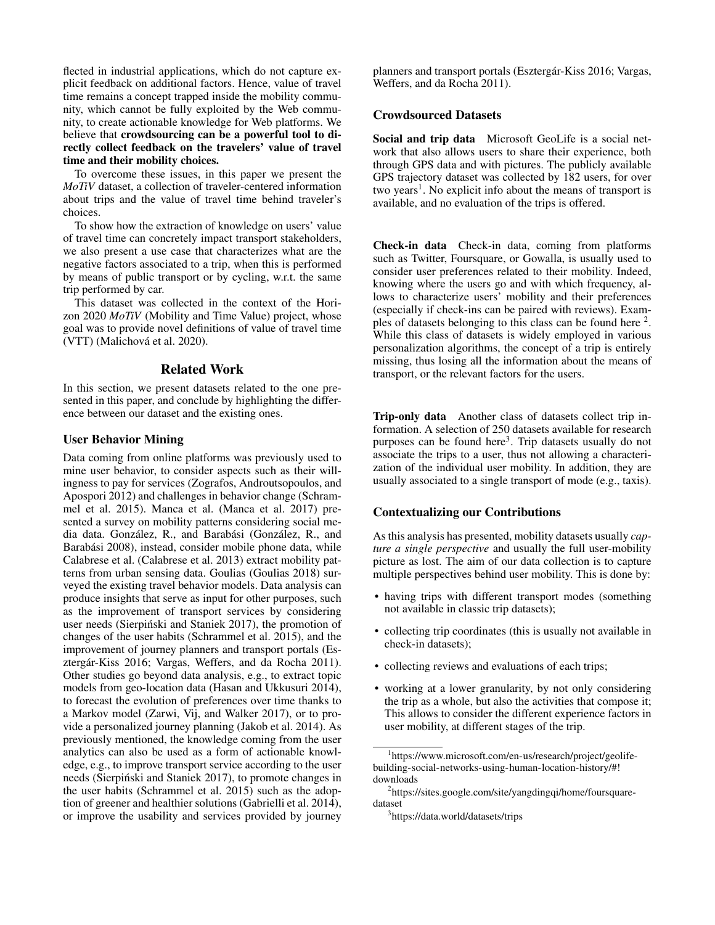flected in industrial applications, which do not capture explicit feedback on additional factors. Hence, value of travel time remains a concept trapped inside the mobility community, which cannot be fully exploited by the Web community, to create actionable knowledge for Web platforms. We believe that crowdsourcing can be a powerful tool to directly collect feedback on the travelers' value of travel time and their mobility choices.

To overcome these issues, in this paper we present the *MoTiV* dataset, a collection of traveler-centered information about trips and the value of travel time behind traveler's choices.

To show how the extraction of knowledge on users' value of travel time can concretely impact transport stakeholders, we also present a use case that characterizes what are the negative factors associated to a trip, when this is performed by means of public transport or by cycling, w.r.t. the same trip performed by car.

This dataset was collected in the context of the Horizon 2020 *MoTiV* (Mobility and Time Value) project, whose goal was to provide novel definitions of value of travel time (VTT) (Malichová et al. 2020).

#### Related Work

In this section, we present datasets related to the one presented in this paper, and conclude by highlighting the difference between our dataset and the existing ones.

### User Behavior Mining

Data coming from online platforms was previously used to mine user behavior, to consider aspects such as their willingness to pay for services (Zografos, Androutsopoulos, and Apospori 2012) and challenges in behavior change (Schrammel et al. 2015). Manca et al. (Manca et al. 2017) presented a survey on mobility patterns considering social media data. González, R., and Barabási (González, R., and Barabási 2008), instead, consider mobile phone data, while Calabrese et al. (Calabrese et al. 2013) extract mobility patterns from urban sensing data. Goulias (Goulias 2018) surveyed the existing travel behavior models. Data analysis can produce insights that serve as input for other purposes, such as the improvement of transport services by considering user needs (Sierpiński and Staniek 2017), the promotion of changes of the user habits (Schrammel et al. 2015), and the improvement of journey planners and transport portals (Esztergár-Kiss 2016; Vargas, Weffers, and da Rocha 2011). Other studies go beyond data analysis, e.g., to extract topic models from geo-location data (Hasan and Ukkusuri 2014), to forecast the evolution of preferences over time thanks to a Markov model (Zarwi, Vij, and Walker 2017), or to provide a personalized journey planning (Jakob et al. 2014). As previously mentioned, the knowledge coming from the user analytics can also be used as a form of actionable knowledge, e.g., to improve transport service according to the user needs (Sierpiński and Staniek 2017), to promote changes in the user habits (Schrammel et al. 2015) such as the adoption of greener and healthier solutions (Gabrielli et al. 2014), or improve the usability and services provided by journey planners and transport portals (Esztergar-Kiss 2016; Vargas, ´ Weffers, and da Rocha 2011).

### Crowdsourced Datasets

Social and trip data Microsoft GeoLife is a social network that also allows users to share their experience, both through GPS data and with pictures. The publicly available GPS trajectory dataset was collected by 182 users, for over two years<sup>1</sup>. No explicit info about the means of transport is available, and no evaluation of the trips is offered.

Check-in data Check-in data, coming from platforms such as Twitter, Foursquare, or Gowalla, is usually used to consider user preferences related to their mobility. Indeed, knowing where the users go and with which frequency, allows to characterize users' mobility and their preferences (especially if check-ins can be paired with reviews). Examples of datasets belonging to this class can be found here  $2$ . While this class of datasets is widely employed in various personalization algorithms, the concept of a trip is entirely missing, thus losing all the information about the means of transport, or the relevant factors for the users.

Trip-only data Another class of datasets collect trip information. A selection of 250 datasets available for research purposes can be found here<sup>3</sup>. Trip datasets usually do not associate the trips to a user, thus not allowing a characterization of the individual user mobility. In addition, they are usually associated to a single transport of mode (e.g., taxis).

#### Contextualizing our Contributions

As this analysis has presented, mobility datasets usually *capture a single perspective* and usually the full user-mobility picture as lost. The aim of our data collection is to capture multiple perspectives behind user mobility. This is done by:

- having trips with different transport modes (something not available in classic trip datasets);
- collecting trip coordinates (this is usually not available in check-in datasets);
- collecting reviews and evaluations of each trips;
- working at a lower granularity, by not only considering the trip as a whole, but also the activities that compose it; This allows to consider the different experience factors in user mobility, at different stages of the trip.

<sup>1</sup> https://www.microsoft.com/en-us/research/project/geolifebuilding-social-networks-using-human-location-history/#! downloads

<sup>&</sup>lt;sup>2</sup>https://sites.google.com/site/yangdingqi/home/foursquaredataset

<sup>3</sup> https://data.world/datasets/trips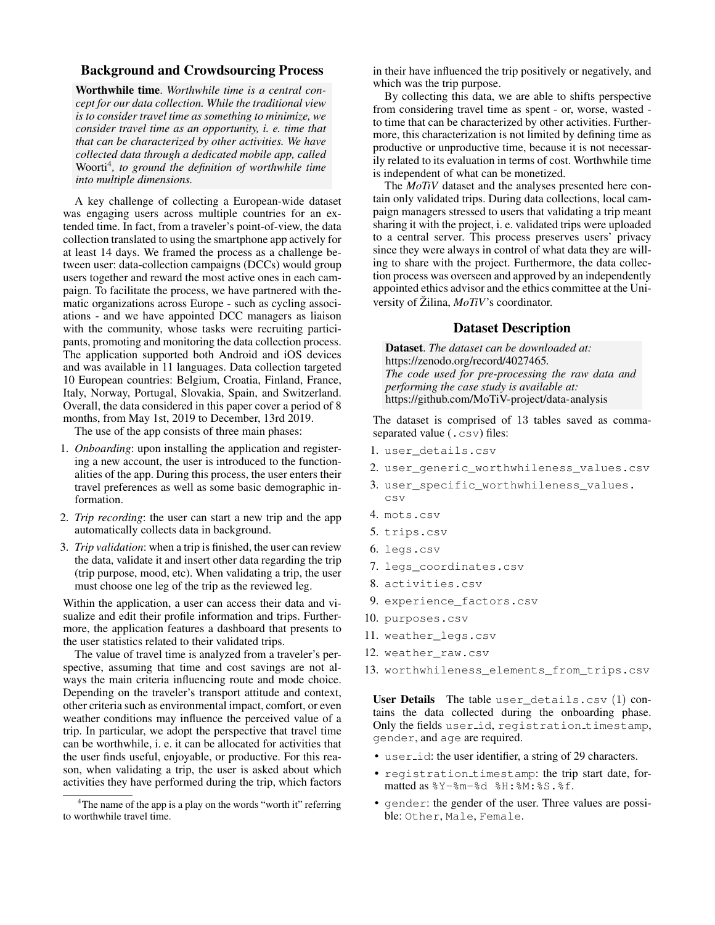### Background and Crowdsourcing Process

Worthwhile time. *Worthwhile time is a central concept for our data collection. While the traditional view is to consider travel time as something to minimize, we consider travel time as an opportunity, i. e. time that that can be characterized by other activities. We have collected data through a dedicated mobile app, called* Woorti<sup>4</sup> *, to ground the definition of worthwhile time into multiple dimensions.*

A key challenge of collecting a European-wide dataset was engaging users across multiple countries for an extended time. In fact, from a traveler's point-of-view, the data collection translated to using the smartphone app actively for at least 14 days. We framed the process as a challenge between user: data-collection campaigns (DCCs) would group users together and reward the most active ones in each campaign. To facilitate the process, we have partnered with thematic organizations across Europe - such as cycling associations - and we have appointed DCC managers as liaison with the community, whose tasks were recruiting participants, promoting and monitoring the data collection process. The application supported both Android and iOS devices and was available in 11 languages. Data collection targeted 10 European countries: Belgium, Croatia, Finland, France, Italy, Norway, Portugal, Slovakia, Spain, and Switzerland. Overall, the data considered in this paper cover a period of 8 months, from May 1st, 2019 to December, 13rd 2019.

The use of the app consists of three main phases:

- 1. *Onboarding*: upon installing the application and registering a new account, the user is introduced to the functionalities of the app. During this process, the user enters their travel preferences as well as some basic demographic information.
- 2. *Trip recording*: the user can start a new trip and the app automatically collects data in background.
- 3. *Trip validation*: when a trip is finished, the user can review the data, validate it and insert other data regarding the trip (trip purpose, mood, etc). When validating a trip, the user must choose one leg of the trip as the reviewed leg.

Within the application, a user can access their data and visualize and edit their profile information and trips. Furthermore, the application features a dashboard that presents to the user statistics related to their validated trips.

The value of travel time is analyzed from a traveler's perspective, assuming that time and cost savings are not always the main criteria influencing route and mode choice. Depending on the traveler's transport attitude and context, other criteria such as environmental impact, comfort, or even weather conditions may influence the perceived value of a trip. In particular, we adopt the perspective that travel time can be worthwhile, i. e. it can be allocated for activities that the user finds useful, enjoyable, or productive. For this reason, when validating a trip, the user is asked about which activities they have performed during the trip, which factors

in their have influenced the trip positively or negatively, and which was the trip purpose.

By collecting this data, we are able to shifts perspective from considering travel time as spent - or, worse, wasted to time that can be characterized by other activities. Furthermore, this characterization is not limited by defining time as productive or unproductive time, because it is not necessarily related to its evaluation in terms of cost. Worthwhile time is independent of what can be monetized.

The *MoTiV* dataset and the analyses presented here contain only validated trips. During data collections, local campaign managers stressed to users that validating a trip meant sharing it with the project, i. e. validated trips were uploaded to a central server. This process preserves users' privacy since they were always in control of what data they are willing to share with the project. Furthermore, the data collection process was overseen and approved by an independently appointed ethics advisor and the ethics committee at the University of Žilina,  $MoTiV$ 's coordinator.

### Dataset Description

Dataset. *The dataset can be downloaded at:* https://zenodo.org/record/4027465*. The code used for pre-processing the raw data and performing the case study is available at:* https://github.com/MoTiV-project/data-analysis

The dataset is comprised of 13 tables saved as commaseparated value (.csv) files:

- 1. user details.csv
- 2. user\_generic\_worthwhileness\_values.csv
- 3. user\_specific\_worthwhileness\_values. csv
- 4. mots.csv
- 5. trips.csv
- 6. legs.csv
- 7. legs\_coordinates.csv
- 8. activities.csv
- 9. experience factors.csv
- 10. purposes.csv
- 11. weather\_legs.csv
- 12. weather raw.csv
- 13. worthwhileness\_elements\_from\_trips.csv

User Details The table user details.csv  $(1)$  contains the data collected during the onboarding phase. Only the fields user\_id, registration\_timestamp, gender, and age are required.

- user<sub>id:</sub> the user identifier, a string of 29 characters.
- registration timestamp: the trip start date, formatted as %Y-%m-%d %H:%M:%S.%f.
- gender: the gender of the user. Three values are possible: Other, Male, Female.

<sup>&</sup>lt;sup>4</sup>The name of the app is a play on the words "worth it" referring to worthwhile travel time.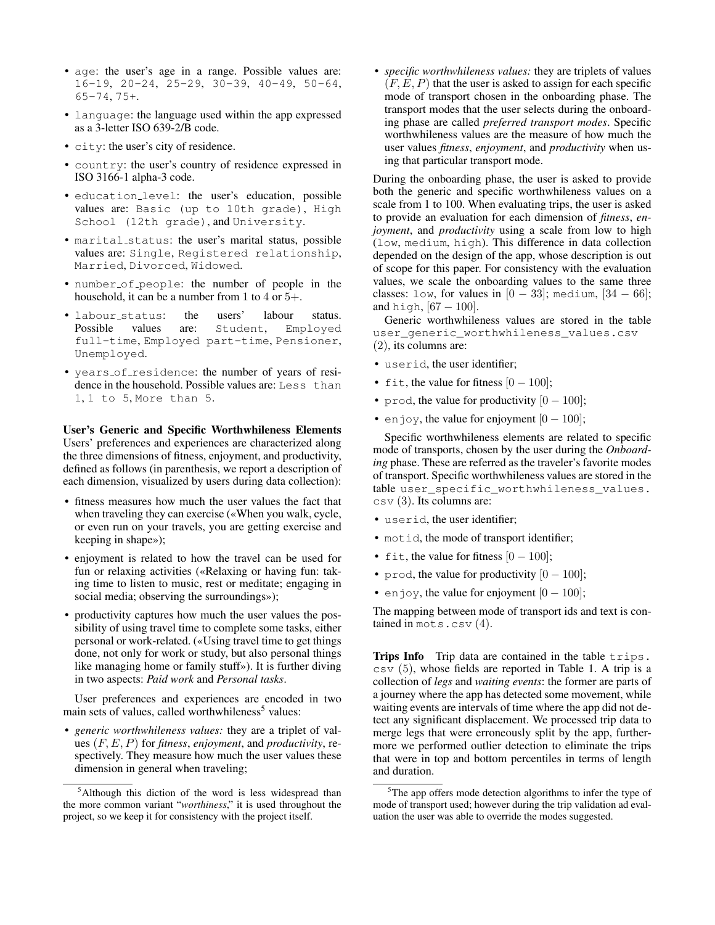- age: the user's age in a range. Possible values are: 16-19, 20-24, 25-29, 30-39, 40-49, 50-64, 65-74, 75+.
- language: the language used within the app expressed as a 3-letter ISO 639-2/B code.
- city: the user's city of residence.
- country: the user's country of residence expressed in ISO 3166-1 alpha-3 code.
- education level: the user's education, possible values are: Basic (up to 10th grade), High School (12th grade), and University.
- marital status: the user's marital status, possible values are: Single, Registered relationship, Married, Divorced, Widowed.
- number of people: the number of people in the household, it can be a number from 1 to 4 or  $5+$ .
- labour\_status: the users' labour status.<br>Possible values are: Student, Employed Possible values are: Student, Employed full-time, Employed part-time, Pensioner, Unemployed.
- years of residence: the number of years of residence in the household. Possible values are: Less than 1, 1 to 5, More than 5.

User's Generic and Specific Worthwhileness Elements Users' preferences and experiences are characterized along the three dimensions of fitness, enjoyment, and productivity, defined as follows (in parenthesis, we report a description of each dimension, visualized by users during data collection):

- fitness measures how much the user values the fact that when traveling they can exercise («When you walk, cycle, or even run on your travels, you are getting exercise and keeping in shape»);
- enjoyment is related to how the travel can be used for fun or relaxing activities («Relaxing or having fun: taking time to listen to music, rest or meditate; engaging in social media; observing the surroundings»);
- productivity captures how much the user values the possibility of using travel time to complete some tasks, either personal or work-related. («Using travel time to get things done, not only for work or study, but also personal things like managing home or family stuff»). It is further diving in two aspects: *Paid work* and *Personal tasks*.

User preferences and experiences are encoded in two main sets of values, called worthwhileness<sup>5</sup> values:

• *generic worthwhileness values:* they are a triplet of values (F, E, P) for *fitness*, *enjoyment*, and *productivity*, respectively. They measure how much the user values these dimension in general when traveling;

• *specific worthwhileness values:* they are triplets of values  $(F, E, P)$  that the user is asked to assign for each specific mode of transport chosen in the onboarding phase. The transport modes that the user selects during the onboarding phase are called *preferred transport modes*. Specific worthwhileness values are the measure of how much the user values *fitness*, *enjoyment*, and *productivity* when using that particular transport mode.

During the onboarding phase, the user is asked to provide both the generic and specific worthwhileness values on a scale from 1 to 100. When evaluating trips, the user is asked to provide an evaluation for each dimension of *fitness*, *enjoyment*, and *productivity* using a scale from low to high (low, medium, high). This difference in data collection depended on the design of the app, whose description is out of scope for this paper. For consistency with the evaluation values, we scale the onboarding values to the same three classes: low, for values in  $[0 - 33]$ ; medium,  $[34 - 66]$ ; and high,  $[67 - 100]$ .

Generic worthwhileness values are stored in the table user\_generic\_worthwhileness\_values.csv (2), its columns are:

- userid, the user identifier;
- fit, the value for fitness  $[0 100]$ ;
- prod, the value for productivity  $[0 100]$ ;
- enjoy, the value for enjoyment  $[0 100]$ ;

Specific worthwhileness elements are related to specific mode of transports, chosen by the user during the *Onboarding* phase. These are referred as the traveler's favorite modes of transport. Specific worthwhileness values are stored in the table user\_specific\_worthwhileness\_values.  $\cos\theta$  (3). Its columns are:

- userid, the user identifier;
- motid, the mode of transport identifier;
- fit, the value for fitness  $[0 100]$ ;
- prod, the value for productivity  $[0 100]$ ;
- enjoy, the value for enjoyment  $[0 100]$ ;

The mapping between mode of transport ids and text is contained in mots.csv (4).

Trips Info Trip data are contained in the table trips.  $\cos v$  (5), whose fields are reported in Table 1. A trip is a collection of *legs* and *waiting events*: the former are parts of a journey where the app has detected some movement, while waiting events are intervals of time where the app did not detect any significant displacement. We processed trip data to merge legs that were erroneously split by the app, furthermore we performed outlier detection to eliminate the trips that were in top and bottom percentiles in terms of length and duration.

<sup>&</sup>lt;sup>5</sup>Although this diction of the word is less widespread than the more common variant "*worthiness*," it is used throughout the project, so we keep it for consistency with the project itself.

 $5$ The app offers mode detection algorithms to infer the type of mode of transport used; however during the trip validation ad evaluation the user was able to override the modes suggested.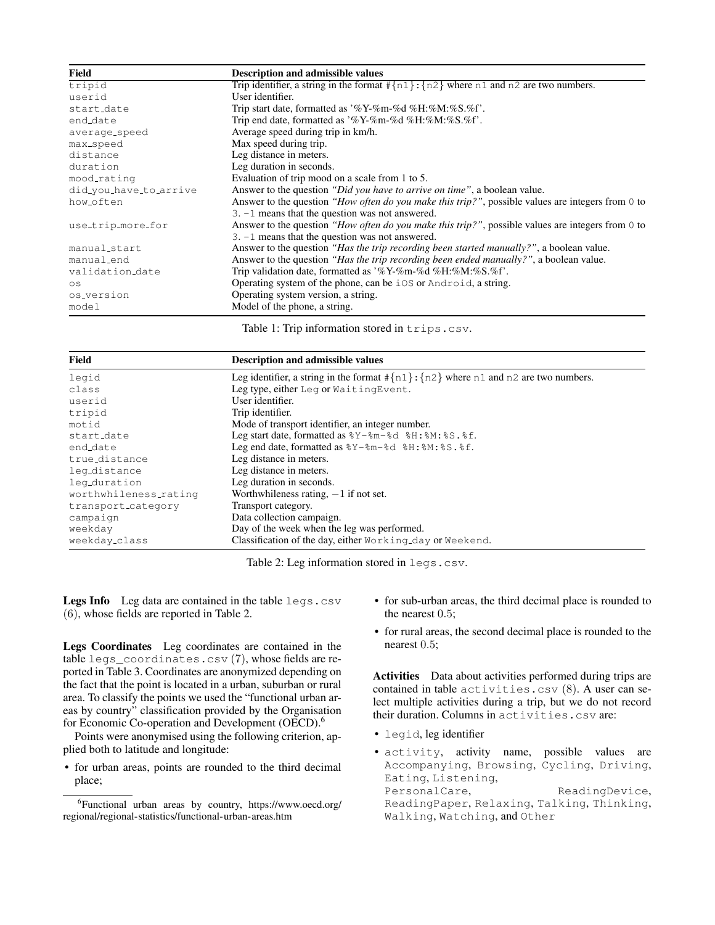| Field                  | <b>Description and admissible values</b>                                                          |
|------------------------|---------------------------------------------------------------------------------------------------|
| tripid                 | Trip identifier, a string in the format $\{n1\}$ : $\{n2\}$ where n1 and n2 are two numbers.      |
| userid                 | User identifier.                                                                                  |
| start_date             | Trip start date, formatted as '%Y-%m-%d %H:%M:%S.%f'.                                             |
| end_date               | Trip end date, formatted as '%Y-%m-%d %H:%M:%S.%f'.                                               |
| average_speed          | Average speed during trip in km/h.                                                                |
| max_speed              | Max speed during trip.                                                                            |
| distance               | Leg distance in meters.                                                                           |
| duration               | Leg duration in seconds.                                                                          |
| mood_rating            | Evaluation of trip mood on a scale from 1 to 5.                                                   |
| did_you_have_to_arrive | Answer to the question "Did you have to arrive on time", a boolean value.                         |
| how_often              | Answer to the question "How often do you make this trip?", possible values are integers from 0 to |
|                        | $3. -1$ means that the question was not answered.                                                 |
| use_trip_more_for      | Answer to the question "How often do you make this trip?", possible values are integers from 0 to |
|                        | $3. -1$ means that the question was not answered.                                                 |
| manual_start           | Answer to the question " <i>Has the trip recording been started manually?</i> ", a boolean value. |
| manual_end             | Answer to the question "Has the trip recording been ended manually?", a boolean value.            |
| validation_date        | Trip validation date, formatted as '%Y-%m-%d %H:%M:%S.%f'.                                        |
| OS                     | Operating system of the phone, can be iOS or Android, a string.                                   |
| os_version             | Operating system version, a string.                                                               |
| model                  | Model of the phone, a string.                                                                     |

Table 1: Trip information stored in trips.csv.

| Field                 | <b>Description and admissible values</b>                                                                    |  |  |  |  |
|-----------------------|-------------------------------------------------------------------------------------------------------------|--|--|--|--|
| legid                 | Leg identifier, a string in the format $\{\n1\}$ : $\{n2\}$ where n1 and n2 are two numbers.                |  |  |  |  |
| class                 | Leg type, either Leg or WaitingEvent.                                                                       |  |  |  |  |
| userid                | User identifier.                                                                                            |  |  |  |  |
| tripid                | Trip identifier.                                                                                            |  |  |  |  |
| motid                 | Mode of transport identifier, an integer number.                                                            |  |  |  |  |
| start_date            | Leg start date, formatted as $\frac{8Y - 8m - 8d}{8H}$ : $\frac{8M}{8}$ : $\frac{8S}{8}$ . $\frac{8E}{2}$ . |  |  |  |  |
| end_date              | Leg end date, formatted as $8Y - 8m - 8d$ $8H : 8M : 8S . 8f$ .                                             |  |  |  |  |
| true_distance         | Leg distance in meters.                                                                                     |  |  |  |  |
| leg_distance          | Leg distance in meters.                                                                                     |  |  |  |  |
| leg_duration          | Leg duration in seconds.                                                                                    |  |  |  |  |
| worthwhileness_rating | Worthwhileness rating, $-1$ if not set.                                                                     |  |  |  |  |
| transport_category    | Transport category.                                                                                         |  |  |  |  |
| campaign              | Data collection campaign.                                                                                   |  |  |  |  |
| weekday               | Day of the week when the leg was performed.                                                                 |  |  |  |  |
| weekday_class         | Classification of the day, either Working_day or Weekend.                                                   |  |  |  |  |

Table 2: Leg information stored in legs.csv.

Legs Info Leg data are contained in the table legs.csv (6), whose fields are reported in Table 2.

Legs Coordinates Leg coordinates are contained in the table legs\_coordinates.csv (7), whose fields are reported in Table 3. Coordinates are anonymized depending on the fact that the point is located in a urban, suburban or rural area. To classify the points we used the "functional urban areas by country" classification provided by the Organisation for Economic Co-operation and Development (OECD).<sup>6</sup>

Points were anonymised using the following criterion, applied both to latitude and longitude:

• for urban areas, points are rounded to the third decimal place;

- for sub-urban areas, the third decimal place is rounded to the nearest 0.5;
- for rural areas, the second decimal place is rounded to the nearest 0.5;

Activities Data about activities performed during trips are contained in table activities.csv (8). A user can select multiple activities during a trip, but we do not record their duration. Columns in activities.csv are:

- legid, leg identifier
- activity, activity name, possible values are Accompanying, Browsing, Cycling, Driving, Eating, Listening,<br>PersonalCare, ReadingDevice, ReadingPaper, Relaxing, Talking, Thinking, Walking, Watching, and Other

<sup>6</sup> Functional urban areas by country, https://www.oecd.org/ regional/regional-statistics/functional-urban-areas.htm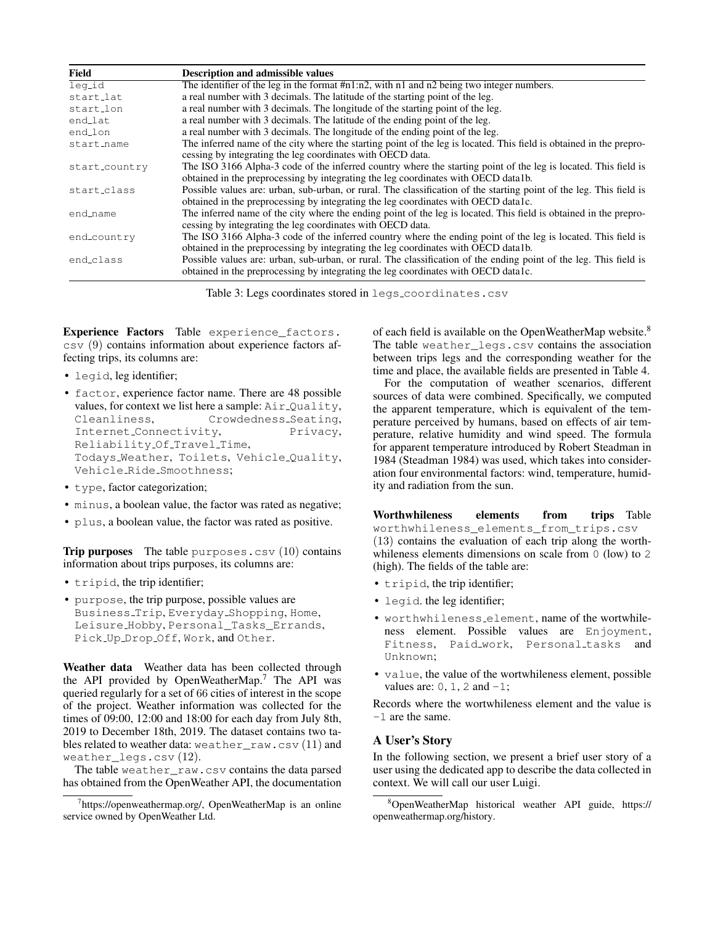| Field         | <b>Description and admissible values</b>                                                                            |
|---------------|---------------------------------------------------------------------------------------------------------------------|
| leg_id        | The identifier of the leg in the format #n1:n2, with n1 and n2 being two integer numbers.                           |
| start_lat     | a real number with 3 decimals. The latitude of the starting point of the leg.                                       |
| start_lon     | a real number with 3 decimals. The longitude of the starting point of the leg.                                      |
| end_lat       | a real number with 3 decimals. The latitude of the ending point of the leg.                                         |
| end_lon       | a real number with 3 decimals. The longitude of the ending point of the leg.                                        |
| start_name    | The inferred name of the city where the starting point of the leg is located. This field is obtained in the prepro- |
|               | cessing by integrating the leg coordinates with OECD data.                                                          |
| start_country | The ISO 3166 Alpha-3 code of the inferred country where the starting point of the leg is located. This field is     |
|               | obtained in the preprocessing by integrating the leg coordinates with OECD data1b.                                  |
| start_class   | Possible values are: urban, sub-urban, or rural. The classification of the starting point of the leg. This field is |
|               | obtained in the preprocessing by integrating the leg coordinates with OECD data lc.                                 |
| end_name      | The inferred name of the city where the ending point of the leg is located. This field is obtained in the prepro-   |
|               | cessing by integrating the leg coordinates with OECD data.                                                          |
| end_country   | The ISO 3166 Alpha-3 code of the inferred country where the ending point of the leg is located. This field is       |
|               | obtained in the preprocessing by integrating the leg coordinates with OECD data1b.                                  |
| end_class     | Possible values are: urban, sub-urban, or rural. The classification of the ending point of the leg. This field is   |
|               | obtained in the preprocessing by integrating the leg coordinates with OECD data lc.                                 |

Table 3: Legs coordinates stored in legs\_coordinates.csv

Experience Factors Table experience\_factors. csv (9) contains information about experience factors affecting trips, its columns are:

- legid, leg identifier;
- factor, experience factor name. There are 48 possible values, for context we list here a sample:  $Air\_Quality$ , Cleanliness, Crowdedness\_Seating, Internet Connectivity, Privacy, Reliability Of Travel Time, Todays Weather, Toilets, Vehicle Quality, Vehicle Ride Smoothness;
- type, factor categorization;
- minus, a boolean value, the factor was rated as negative;
- plus, a boolean value, the factor was rated as positive.

**Trip purposes** The table purposes.csv  $(10)$  contains information about trips purposes, its columns are:

- tripid, the trip identifier;
- purpose, the trip purpose, possible values are Business Trip, Everyday Shopping, Home, Leisure Hobby, Personal\_Tasks\_Errands, Pick Up Drop Off, Work, and Other.

Weather data Weather data has been collected through the API provided by OpenWeatherMap.<sup>7</sup> The API was queried regularly for a set of 66 cities of interest in the scope of the project. Weather information was collected for the times of 09:00, 12:00 and 18:00 for each day from July 8th, 2019 to December 18th, 2019. The dataset contains two tables related to weather data: weather\_raw.csv (11) and weather\_legs.csv (12).

The table weather\_raw.csv contains the data parsed has obtained from the OpenWeather API, the documentation

of each field is available on the OpenWeatherMap website.<sup>8</sup> The table weather legs.csv contains the association between trips legs and the corresponding weather for the time and place, the available fields are presented in Table 4.

For the computation of weather scenarios, different sources of data were combined. Specifically, we computed the apparent temperature, which is equivalent of the temperature perceived by humans, based on effects of air temperature, relative humidity and wind speed. The formula for apparent temperature introduced by Robert Steadman in 1984 (Steadman 1984) was used, which takes into consideration four environmental factors: wind, temperature, humidity and radiation from the sun.

Worthwhileness elements from trips Table worthwhileness elements from trips.csv (13) contains the evaluation of each trip along the worthwhileness elements dimensions on scale from 0 (low) to 2 (high). The fields of the table are:

- tripid, the trip identifier;
- legid. the leg identifier;
- worthwhileness element, name of the wortwhileness element. Possible values are Enjoyment, Fitness, Paid\_work, Personal\_tasks and Unknown;
- value, the value of the wortwhileness element, possible values are:  $0, 1, 2$  and  $-1$ ;

Records where the wortwhileness element and the value is -1 are the same.

### A User's Story

In the following section, we present a brief user story of a user using the dedicated app to describe the data collected in context. We will call our user Luigi.

<sup>7</sup> https://openweathermap.org/, OpenWeatherMap is an online service owned by OpenWeather Ltd.

<sup>8</sup>OpenWeatherMap historical weather API guide, https:// openweathermap.org/history.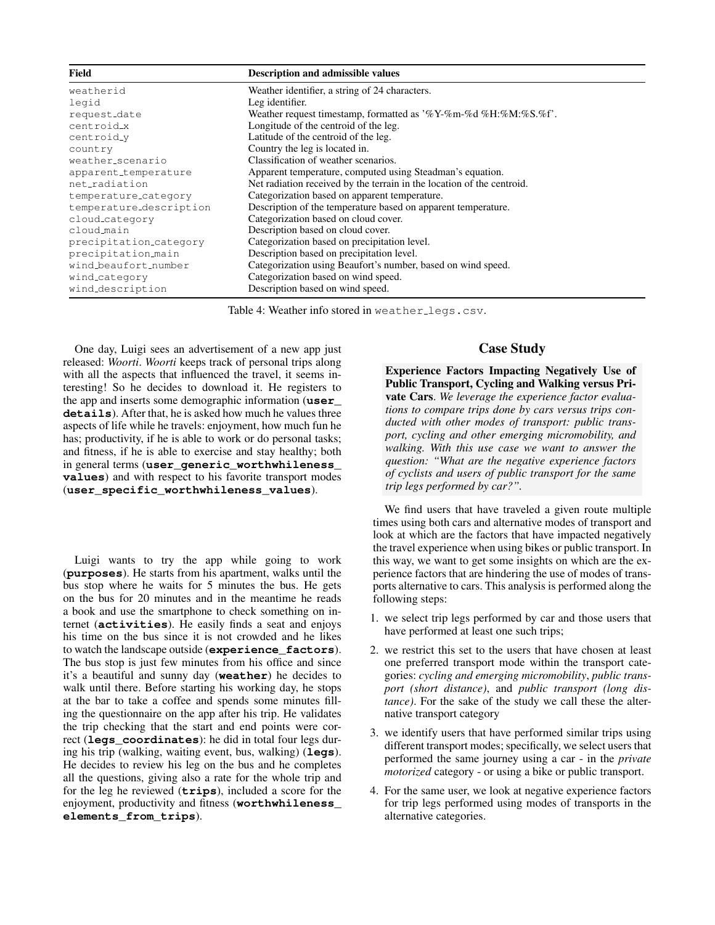| Field<br><b>Description and admissible values</b> |                                                                        |  |  |
|---------------------------------------------------|------------------------------------------------------------------------|--|--|
| weatherid                                         | Weather identifier, a string of 24 characters.                         |  |  |
| legid                                             | Leg identifier.                                                        |  |  |
| request_date                                      | Weather request timestamp, formatted as '%Y-%m-%d %H:%M:%S.%f'.        |  |  |
| centroidx                                         | Longitude of the centroid of the leg.                                  |  |  |
| centroid_y                                        | Latitude of the centroid of the leg.                                   |  |  |
| country                                           | Country the leg is located in.                                         |  |  |
| weather_scenario                                  | Classification of weather scenarios.                                   |  |  |
| apparent_temperature                              | Apparent temperature, computed using Steadman's equation.              |  |  |
| net_radiation                                     | Net radiation received by the terrain in the location of the centroid. |  |  |
| temperature_category                              | Categorization based on apparent temperature.                          |  |  |
| temperature_description                           | Description of the temperature based on apparent temperature.          |  |  |
| cloud_category                                    | Categorization based on cloud cover.                                   |  |  |
| cloud-main                                        | Description based on cloud cover.                                      |  |  |
| precipitation_category                            | Categorization based on precipitation level.                           |  |  |
| precipitation_main                                | Description based on precipitation level.                              |  |  |
| wind_beaufort_number                              | Categorization using Beaufort's number, based on wind speed.           |  |  |
| wind_category                                     | Categorization based on wind speed.                                    |  |  |
| wind_description                                  | Description based on wind speed.                                       |  |  |

Table 4: Weather info stored in weather\_legs.csv.

One day, Luigi sees an advertisement of a new app just released: *Woorti*. *Woorti* keeps track of personal trips along with all the aspects that influenced the travel, it seems interesting! So he decides to download it. He registers to the app and inserts some demographic information (**user\_ details**). After that, he is asked how much he values three aspects of life while he travels: enjoyment, how much fun he has; productivity, if he is able to work or do personal tasks; and fitness, if he is able to exercise and stay healthy; both in general terms (**user\_generic\_worthwhileness\_ values**) and with respect to his favorite transport modes (**user\_specific\_worthwhileness\_values**).

Luigi wants to try the app while going to work (**purposes**). He starts from his apartment, walks until the bus stop where he waits for 5 minutes the bus. He gets on the bus for 20 minutes and in the meantime he reads a book and use the smartphone to check something on internet (**activities**). He easily finds a seat and enjoys his time on the bus since it is not crowded and he likes to watch the landscape outside (**experience\_factors**). The bus stop is just few minutes from his office and since it's a beautiful and sunny day (**weather**) he decides to walk until there. Before starting his working day, he stops at the bar to take a coffee and spends some minutes filling the questionnaire on the app after his trip. He validates the trip checking that the start and end points were correct (**legs\_coordinates**): he did in total four legs during his trip (walking, waiting event, bus, walking) (**legs**). He decides to review his leg on the bus and he completes all the questions, giving also a rate for the whole trip and for the leg he reviewed (**trips**), included a score for the enjoyment, productivity and fitness (**worthwhileness\_ elements\_from\_trips**).

### Case Study

Experience Factors Impacting Negatively Use of Public Transport, Cycling and Walking versus Private Cars. *We leverage the experience factor evaluations to compare trips done by cars versus trips conducted with other modes of transport: public transport, cycling and other emerging micromobility, and walking. With this use case we want to answer the question: "What are the negative experience factors of cyclists and users of public transport for the same trip legs performed by car?".*

We find users that have traveled a given route multiple times using both cars and alternative modes of transport and look at which are the factors that have impacted negatively the travel experience when using bikes or public transport. In this way, we want to get some insights on which are the experience factors that are hindering the use of modes of transports alternative to cars. This analysis is performed along the following steps:

- 1. we select trip legs performed by car and those users that have performed at least one such trips;
- 2. we restrict this set to the users that have chosen at least one preferred transport mode within the transport categories: *cycling and emerging micromobility*, *public transport (short distance)*, and *public transport (long distance)*. For the sake of the study we call these the alternative transport category
- 3. we identify users that have performed similar trips using different transport modes; specifically, we select users that performed the same journey using a car - in the *private motorized* category - or using a bike or public transport.
- 4. For the same user, we look at negative experience factors for trip legs performed using modes of transports in the alternative categories.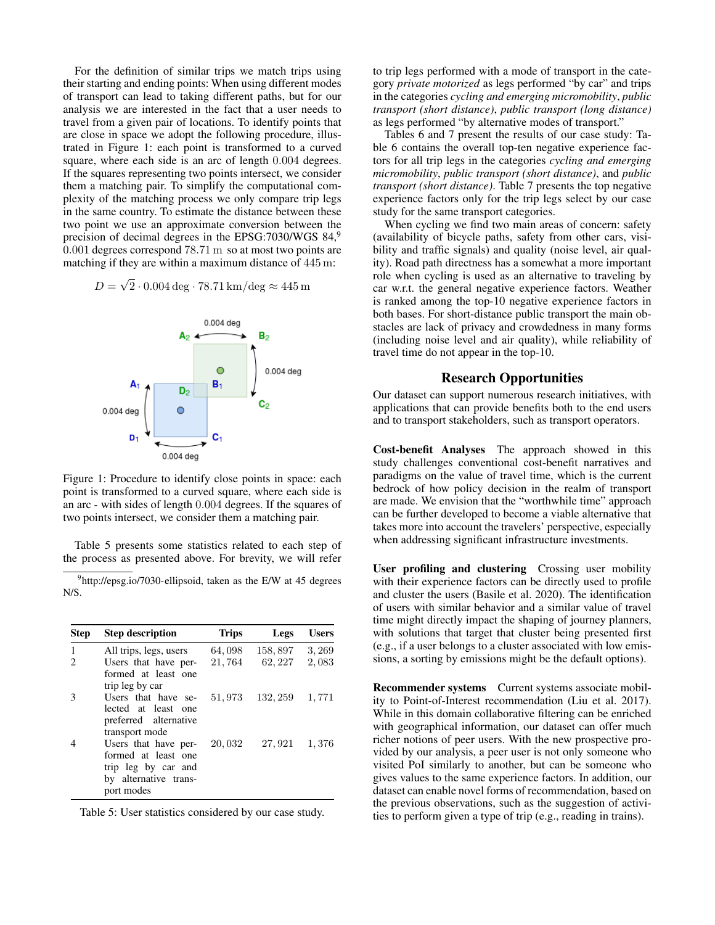For the definition of similar trips we match trips using their starting and ending points: When using different modes of transport can lead to taking different paths, but for our analysis we are interested in the fact that a user needs to travel from a given pair of locations. To identify points that are close in space we adopt the following procedure, illustrated in Figure 1: each point is transformed to a curved square, where each side is an arc of length 0.004 degrees. If the squares representing two points intersect, we consider them a matching pair. To simplify the computational complexity of the matching process we only compare trip legs in the same country. To estimate the distance between these two point we use an approximate conversion between the precision of decimal degrees in the EPSG:7030/WGS 84,<sup>9</sup> 0.001 degrees correspond 78.71 m so at most two points are matching if they are within a maximum distance of 445 m:

> $D =$ √  $2 \cdot 0.004 \text{ deg} \cdot 78.71 \text{ km/deg} \approx 445 \text{ m}$



Figure 1: Procedure to identify close points in space: each point is transformed to a curved square, where each side is an arc - with sides of length 0.004 degrees. If the squares of two points intersect, we consider them a matching pair.

Table 5 presents some statistics related to each step of the process as presented above. For brevity, we will refer

<sup>9</sup>http://epsg.io/7030-ellipsoid, taken as the E/W at 45 degrees N/S.

| <b>Step</b> | <b>Step description</b>                                                                                   | <b>Trips</b> | Legs     | <b>Users</b> |
|-------------|-----------------------------------------------------------------------------------------------------------|--------------|----------|--------------|
| 1           | All trips, legs, users                                                                                    | 64,098       | 158,897  | 3, 269       |
| 2           | Users that have per-<br>formed at least one<br>trip leg by car                                            | 21,764       | 62, 227  | 2,083        |
| 3           | Users that have se-<br>lected at least<br>one<br>preferred alternative<br>transport mode                  | 51,973       | 132, 259 | 1,771        |
|             | Users that have per-<br>formed at least one<br>trip leg by car and<br>by alternative trans-<br>port modes | 20,032       | 27,921   | 1,376        |

Table 5: User statistics considered by our case study.

to trip legs performed with a mode of transport in the category *private motorized* as legs performed "by car" and trips in the categories *cycling and emerging micromobility*, *public transport (short distance)*, *public transport (long distance)* as legs performed "by alternative modes of transport."

Tables 6 and 7 present the results of our case study: Table 6 contains the overall top-ten negative experience factors for all trip legs in the categories *cycling and emerging micromobility*, *public transport (short distance)*, and *public transport (short distance)*. Table 7 presents the top negative experience factors only for the trip legs select by our case study for the same transport categories.

When cycling we find two main areas of concern: safety (availability of bicycle paths, safety from other cars, visibility and traffic signals) and quality (noise level, air quality). Road path directness has a somewhat a more important role when cycling is used as an alternative to traveling by car w.r.t. the general negative experience factors. Weather is ranked among the top-10 negative experience factors in both bases. For short-distance public transport the main obstacles are lack of privacy and crowdedness in many forms (including noise level and air quality), while reliability of travel time do not appear in the top-10.

### Research Opportunities

Our dataset can support numerous research initiatives, with applications that can provide benefits both to the end users and to transport stakeholders, such as transport operators.

Cost-benefit Analyses The approach showed in this study challenges conventional cost-benefit narratives and paradigms on the value of travel time, which is the current bedrock of how policy decision in the realm of transport are made. We envision that the "worthwhile time" approach can be further developed to become a viable alternative that takes more into account the travelers' perspective, especially when addressing significant infrastructure investments.

User profiling and clustering Crossing user mobility with their experience factors can be directly used to profile and cluster the users (Basile et al. 2020). The identification of users with similar behavior and a similar value of travel time might directly impact the shaping of journey planners, with solutions that target that cluster being presented first (e.g., if a user belongs to a cluster associated with low emissions, a sorting by emissions might be the default options).

Recommender systems Current systems associate mobility to Point-of-Interest recommendation (Liu et al. 2017). While in this domain collaborative filtering can be enriched with geographical information, our dataset can offer much richer notions of peer users. With the new prospective provided by our analysis, a peer user is not only someone who visited PoI similarly to another, but can be someone who gives values to the same experience factors. In addition, our dataset can enable novel forms of recommendation, based on the previous observations, such as the suggestion of activities to perform given a type of trip (e.g., reading in trains).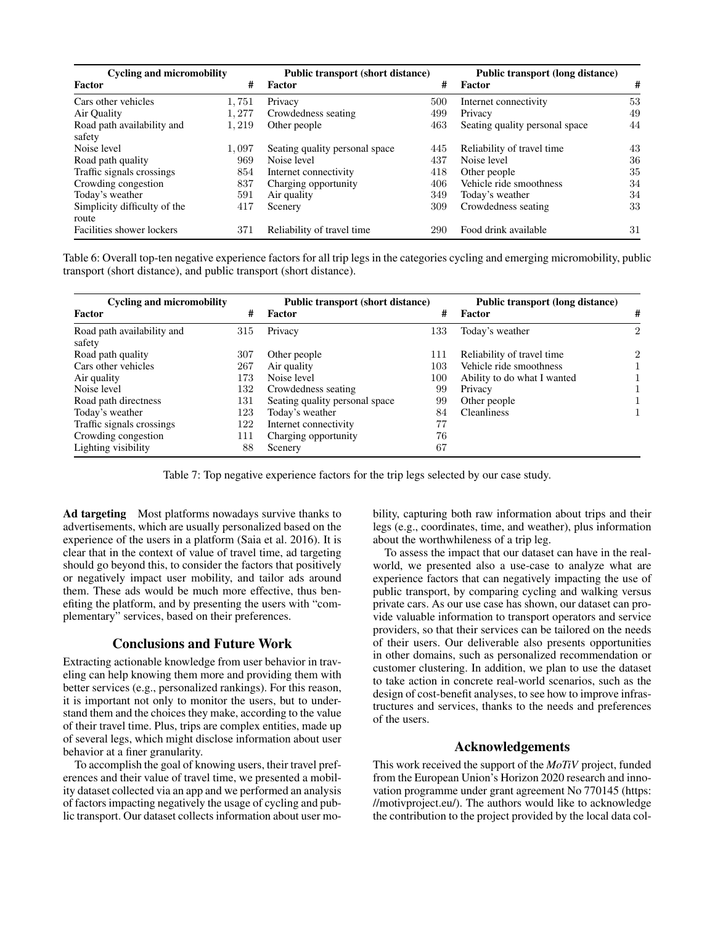| <b>Cycling and micromobility</b>     |       | <b>Public transport (short distance)</b> |     | Public transport (long distance) |    |
|--------------------------------------|-------|------------------------------------------|-----|----------------------------------|----|
| Factor                               | #     | <b>Factor</b>                            | #   | Factor                           | #  |
| Cars other vehicles                  | 1,751 | Privacy                                  | 500 | Internet connectivity            | 53 |
| Air Quality                          | 1,277 | Crowdedness seating                      | 499 | Privacy                          | 49 |
| Road path availability and<br>safety | 1.219 | Other people                             | 463 | Seating quality personal space   | 44 |
| Noise level                          | 1,097 | Seating quality personal space           | 445 | Reliability of travel time       | 43 |
| Road path quality                    | 969   | Noise level                              | 437 | Noise level                      | 36 |
| Traffic signals crossings            | 854   | Internet connectivity                    | 418 | Other people                     | 35 |
| Crowding congestion                  | 837   | Charging opportunity                     | 406 | Vehicle ride smoothness          | 34 |
| Today's weather                      | 591   | Air quality                              | 349 | Today's weather                  | 34 |
| Simplicity difficulty of the         | 417   | Scenery                                  | 309 | Crowdedness seating              | 33 |
| route                                |       |                                          |     |                                  |    |
| Facilities shower lockers            | 371   | Reliability of travel time               | 290 | Food drink available             | 31 |

Table 6: Overall top-ten negative experience factors for all trip legs in the categories cycling and emerging micromobility, public transport (short distance), and public transport (short distance).

| <b>Cycling and micromobility</b>     |     | <b>Public transport (short distance)</b> |     | Public transport (long distance) |                |
|--------------------------------------|-----|------------------------------------------|-----|----------------------------------|----------------|
| Factor                               | #   | Factor                                   | #   | Factor                           | #              |
| Road path availability and<br>safety | 315 | Privacy                                  | 133 | Today's weather                  | $\mathfrak{D}$ |
| Road path quality                    | 307 | Other people                             | 111 | Reliability of travel time.      | $\mathfrak{D}$ |
| Cars other vehicles                  | 267 | Air quality                              | 103 | Vehicle ride smoothness          |                |
| Air quality                          | 173 | Noise level                              | 100 | Ability to do what I wanted      |                |
| Noise level                          | 132 | Crowdedness seating                      | 99  | Privacy                          |                |
| Road path directness                 | 131 | Seating quality personal space           | 99  | Other people                     |                |
| Today's weather                      | 123 | Today's weather                          | 84  | <b>Cleanliness</b>               |                |
| Traffic signals crossings            | 122 | Internet connectivity                    | 77  |                                  |                |
| Crowding congestion                  | 111 | Charging opportunity                     | 76  |                                  |                |
| Lighting visibility                  | 88  | Scenery                                  | 67  |                                  |                |

Table 7: Top negative experience factors for the trip legs selected by our case study.

Ad targeting Most platforms nowadays survive thanks to advertisements, which are usually personalized based on the experience of the users in a platform (Saia et al. 2016). It is clear that in the context of value of travel time, ad targeting should go beyond this, to consider the factors that positively or negatively impact user mobility, and tailor ads around them. These ads would be much more effective, thus benefiting the platform, and by presenting the users with "complementary" services, based on their preferences.

#### Conclusions and Future Work

Extracting actionable knowledge from user behavior in traveling can help knowing them more and providing them with better services (e.g., personalized rankings). For this reason, it is important not only to monitor the users, but to understand them and the choices they make, according to the value of their travel time. Plus, trips are complex entities, made up of several legs, which might disclose information about user behavior at a finer granularity.

To accomplish the goal of knowing users, their travel preferences and their value of travel time, we presented a mobility dataset collected via an app and we performed an analysis of factors impacting negatively the usage of cycling and public transport. Our dataset collects information about user mobility, capturing both raw information about trips and their legs (e.g., coordinates, time, and weather), plus information about the worthwhileness of a trip leg.

To assess the impact that our dataset can have in the realworld, we presented also a use-case to analyze what are experience factors that can negatively impacting the use of public transport, by comparing cycling and walking versus private cars. As our use case has shown, our dataset can provide valuable information to transport operators and service providers, so that their services can be tailored on the needs of their users. Our deliverable also presents opportunities in other domains, such as personalized recommendation or customer clustering. In addition, we plan to use the dataset to take action in concrete real-world scenarios, such as the design of cost-benefit analyses, to see how to improve infrastructures and services, thanks to the needs and preferences of the users.

### Acknowledgements

This work received the support of the *MoTiV* project, funded from the European Union's Horizon 2020 research and innovation programme under grant agreement No 770145 (https: //motivproject.eu/). The authors would like to acknowledge the contribution to the project provided by the local data col